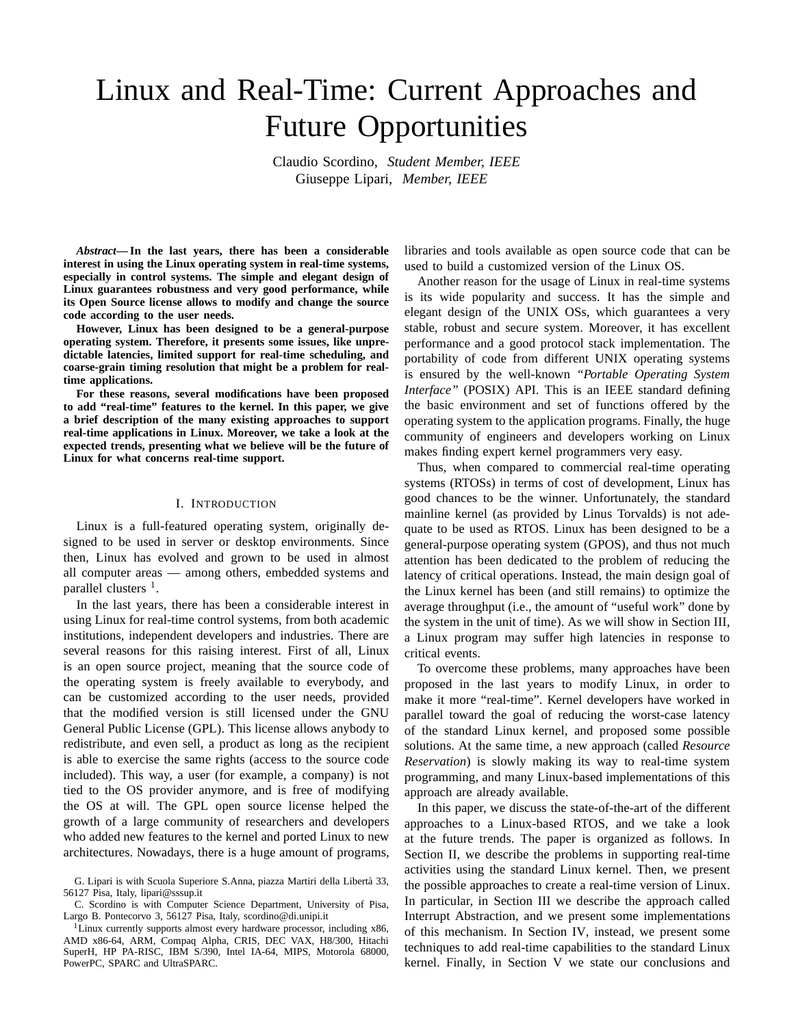# Linux and Real-Time: Current Approaches and Future Opportunities

Claudio Scordino, *Student Member, IEEE* Giuseppe Lipari, *Member, IEEE*

*Abstract***— In the last years, there has been a considerable interest in using the Linux operating system in real-time systems, especially in control systems. The simple and elegant design of Linux guarantees robustness and very good performance, while its Open Source license allows to modify and change the source code according to the user needs.**

**However, Linux has been designed to be a general-purpose operating system. Therefore, it presents some issues, like unpredictable latencies, limited support for real-time scheduling, and coarse-grain timing resolution that might be a problem for realtime applications.**

**For these reasons, several modifications have been proposed to add "real-time" features to the kernel. In this paper, we give a brief description of the many existing approaches to support real-time applications in Linux. Moreover, we take a look at the expected trends, presenting what we believe will be the future of Linux for what concerns real-time support.**

#### I. INTRODUCTION

Linux is a full-featured operating system, originally designed to be used in server or desktop environments. Since then, Linux has evolved and grown to be used in almost all computer areas — among others, embedded systems and parallel clusters <sup>1</sup>.

In the last years, there has been a considerable interest in using Linux for real-time control systems, from both academic institutions, independent developers and industries. There are several reasons for this raising interest. First of all, Linux is an open source project, meaning that the source code of the operating system is freely available to everybody, and can be customized according to the user needs, provided that the modified version is still licensed under the GNU General Public License (GPL). This license allows anybody to redistribute, and even sell, a product as long as the recipient is able to exercise the same rights (access to the source code included). This way, a user (for example, a company) is not tied to the OS provider anymore, and is free of modifying the OS at will. The GPL open source license helped the growth of a large community of researchers and developers who added new features to the kernel and ported Linux to new architectures. Nowadays, there is a huge amount of programs, libraries and tools available as open source code that can be used to build a customized version of the Linux OS.

Another reason for the usage of Linux in real-time systems is its wide popularity and success. It has the simple and elegant design of the UNIX OSs, which guarantees a very stable, robust and secure system. Moreover, it has excellent performance and a good protocol stack implementation. The portability of code from different UNIX operating systems is ensured by the well-known *"Portable Operating System Interface"* (POSIX) API. This is an IEEE standard defining the basic environment and set of functions offered by the operating system to the application programs. Finally, the huge community of engineers and developers working on Linux makes finding expert kernel programmers very easy.

Thus, when compared to commercial real-time operating systems (RTOSs) in terms of cost of development, Linux has good chances to be the winner. Unfortunately, the standard mainline kernel (as provided by Linus Torvalds) is not adequate to be used as RTOS. Linux has been designed to be a general-purpose operating system (GPOS), and thus not much attention has been dedicated to the problem of reducing the latency of critical operations. Instead, the main design goal of the Linux kernel has been (and still remains) to optimize the average throughput (i.e., the amount of "useful work" done by the system in the unit of time). As we will show in Section III, a Linux program may suffer high latencies in response to critical events.

To overcome these problems, many approaches have been proposed in the last years to modify Linux, in order to make it more "real-time". Kernel developers have worked in parallel toward the goal of reducing the worst-case latency of the standard Linux kernel, and proposed some possible solutions. At the same time, a new approach (called *Resource Reservation*) is slowly making its way to real-time system programming, and many Linux-based implementations of this approach are already available.

In this paper, we discuss the state-of-the-art of the different approaches to a Linux-based RTOS, and we take a look at the future trends. The paper is organized as follows. In Section II, we describe the problems in supporting real-time activities using the standard Linux kernel. Then, we present the possible approaches to create a real-time version of Linux. In particular, in Section III we describe the approach called Interrupt Abstraction, and we present some implementations of this mechanism. In Section IV, instead, we present some techniques to add real-time capabilities to the standard Linux kernel. Finally, in Section V we state our conclusions and

G. Lipari is with Scuola Superiore S.Anna, piazza Martiri della Libert`a 33, 56127 Pisa, Italy, lipari@sssup.it

C. Scordino is with Computer Science Department, University of Pisa, Largo B. Pontecorvo 3, 56127 Pisa, Italy, scordino@di.unipi.it

<sup>&</sup>lt;sup>1</sup>Linux currently supports almost every hardware processor, including x86, AMD x86-64, ARM, Compaq Alpha, CRIS, DEC VAX, H8/300, Hitachi SuperH, HP PA-RISC, IBM S/390, Intel IA-64, MIPS, Motorola 68000, PowerPC, SPARC and UltraSPARC.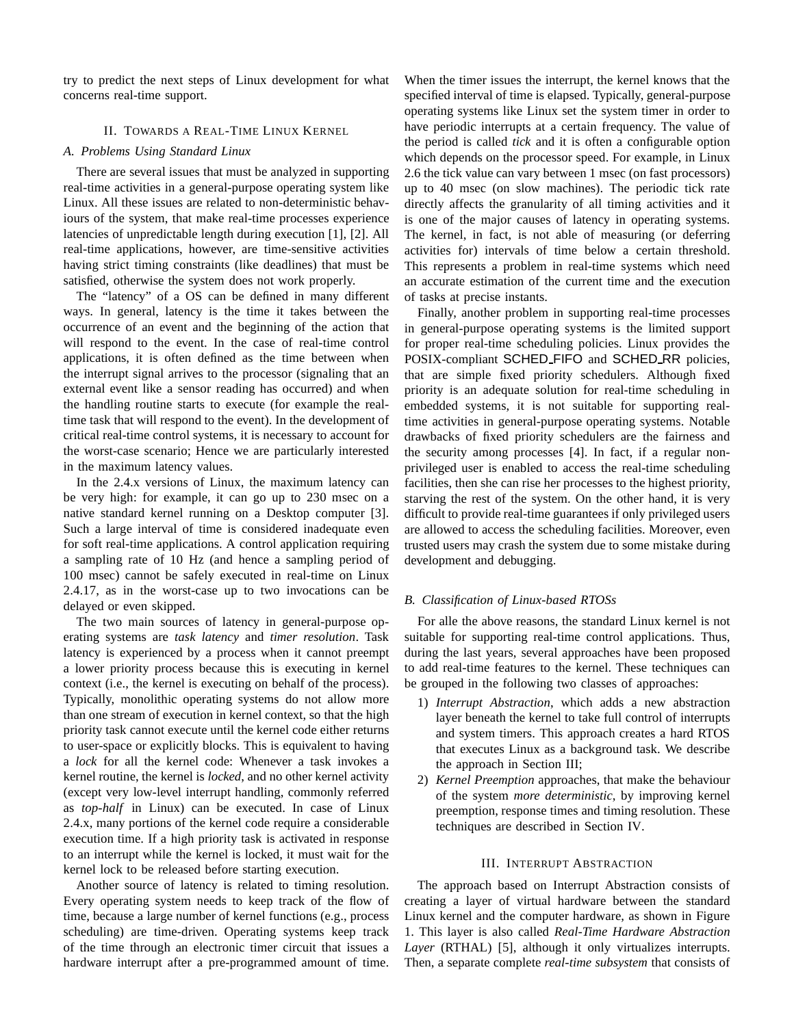try to predict the next steps of Linux development for what concerns real-time support.

## II. TOWARDS A REAL-TIME LINUX KERNEL

# *A. Problems Using Standard Linux*

There are several issues that must be analyzed in supporting real-time activities in a general-purpose operating system like Linux. All these issues are related to non-deterministic behaviours of the system, that make real-time processes experience latencies of unpredictable length during execution [1], [2]. All real-time applications, however, are time-sensitive activities having strict timing constraints (like deadlines) that must be satisfied, otherwise the system does not work properly.

The "latency" of a OS can be defined in many different ways. In general, latency is the time it takes between the occurrence of an event and the beginning of the action that will respond to the event. In the case of real-time control applications, it is often defined as the time between when the interrupt signal arrives to the processor (signaling that an external event like a sensor reading has occurred) and when the handling routine starts to execute (for example the realtime task that will respond to the event). In the development of critical real-time control systems, it is necessary to account for the worst-case scenario; Hence we are particularly interested in the maximum latency values.

In the 2.4.x versions of Linux, the maximum latency can be very high: for example, it can go up to 230 msec on a native standard kernel running on a Desktop computer [3]. Such a large interval of time is considered inadequate even for soft real-time applications. A control application requiring a sampling rate of 10 Hz (and hence a sampling period of 100 msec) cannot be safely executed in real-time on Linux 2.4.17, as in the worst-case up to two invocations can be delayed or even skipped.

The two main sources of latency in general-purpose operating systems are *task latency* and *timer resolution*. Task latency is experienced by a process when it cannot preempt a lower priority process because this is executing in kernel context (i.e., the kernel is executing on behalf of the process). Typically, monolithic operating systems do not allow more than one stream of execution in kernel context, so that the high priority task cannot execute until the kernel code either returns to user-space or explicitly blocks. This is equivalent to having a *lock* for all the kernel code: Whenever a task invokes a kernel routine, the kernel is *locked*, and no other kernel activity (except very low-level interrupt handling, commonly referred as *top-half* in Linux) can be executed. In case of Linux 2.4.x, many portions of the kernel code require a considerable execution time. If a high priority task is activated in response to an interrupt while the kernel is locked, it must wait for the kernel lock to be released before starting execution.

Another source of latency is related to timing resolution. Every operating system needs to keep track of the flow of time, because a large number of kernel functions (e.g., process scheduling) are time-driven. Operating systems keep track of the time through an electronic timer circuit that issues a hardware interrupt after a pre-programmed amount of time.

When the timer issues the interrupt, the kernel knows that the specified interval of time is elapsed. Typically, general-purpose operating systems like Linux set the system timer in order to have periodic interrupts at a certain frequency. The value of the period is called *tick* and it is often a configurable option which depends on the processor speed. For example, in Linux 2.6 the tick value can vary between 1 msec (on fast processors) up to 40 msec (on slow machines). The periodic tick rate directly affects the granularity of all timing activities and it is one of the major causes of latency in operating systems. The kernel, in fact, is not able of measuring (or deferring activities for) intervals of time below a certain threshold. This represents a problem in real-time systems which need an accurate estimation of the current time and the execution of tasks at precise instants.

Finally, another problem in supporting real-time processes in general-purpose operating systems is the limited support for proper real-time scheduling policies. Linux provides the POSIX-compliant SCHED FIFO and SCHED RR policies, that are simple fixed priority schedulers. Although fixed priority is an adequate solution for real-time scheduling in embedded systems, it is not suitable for supporting realtime activities in general-purpose operating systems. Notable drawbacks of fixed priority schedulers are the fairness and the security among processes [4]. In fact, if a regular nonprivileged user is enabled to access the real-time scheduling facilities, then she can rise her processes to the highest priority, starving the rest of the system. On the other hand, it is very difficult to provide real-time guarantees if only privileged users are allowed to access the scheduling facilities. Moreover, even trusted users may crash the system due to some mistake during development and debugging.

# *B. Classification of Linux-based RTOSs*

For alle the above reasons, the standard Linux kernel is not suitable for supporting real-time control applications. Thus, during the last years, several approaches have been proposed to add real-time features to the kernel. These techniques can be grouped in the following two classes of approaches:

- 1) *Interrupt Abstraction*, which adds a new abstraction layer beneath the kernel to take full control of interrupts and system timers. This approach creates a hard RTOS that executes Linux as a background task. We describe the approach in Section III;
- 2) *Kernel Preemption* approaches, that make the behaviour of the system *more deterministic*, by improving kernel preemption, response times and timing resolution. These techniques are described in Section IV.

# III. INTERRUPT ABSTRACTION

The approach based on Interrupt Abstraction consists of creating a layer of virtual hardware between the standard Linux kernel and the computer hardware, as shown in Figure 1. This layer is also called *Real-Time Hardware Abstraction Layer* (RTHAL) [5], although it only virtualizes interrupts. Then, a separate complete *real-time subsystem* that consists of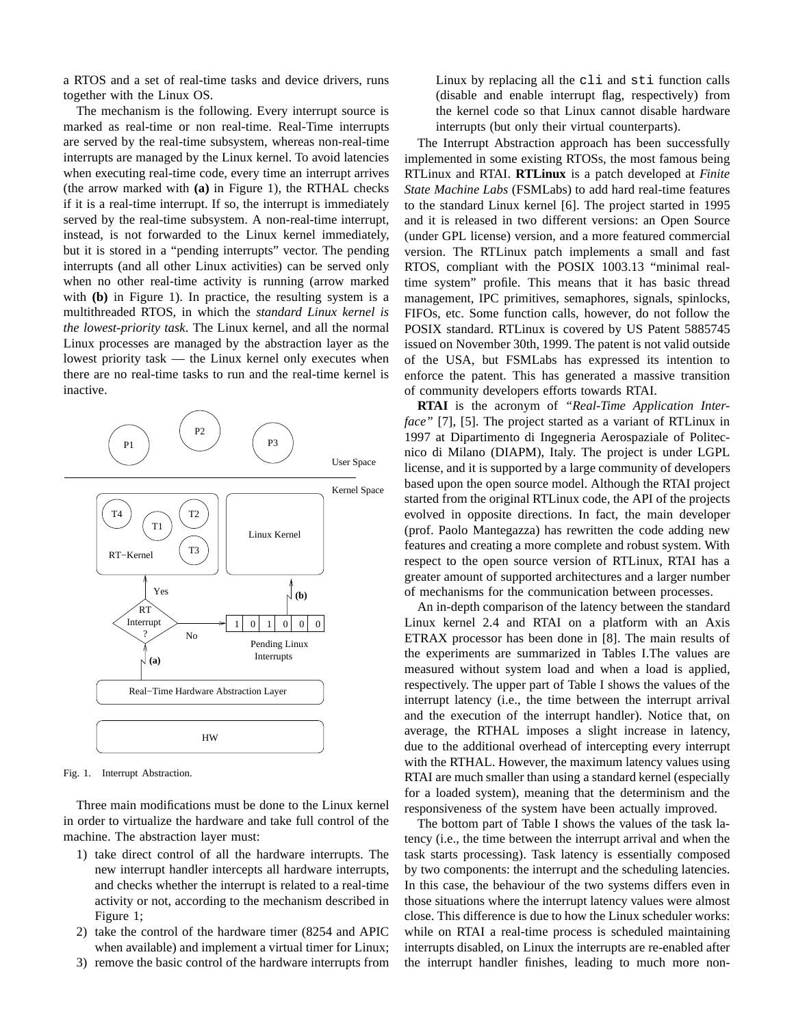a RTOS and a set of real-time tasks and device drivers, runs together with the Linux OS.

The mechanism is the following. Every interrupt source is marked as real-time or non real-time. Real-Time interrupts are served by the real-time subsystem, whereas non-real-time interrupts are managed by the Linux kernel. To avoid latencies when executing real-time code, every time an interrupt arrives (the arrow marked with **(a)** in Figure 1), the RTHAL checks if it is a real-time interrupt. If so, the interrupt is immediately served by the real-time subsystem. A non-real-time interrupt, instead, is not forwarded to the Linux kernel immediately, but it is stored in a "pending interrupts" vector. The pending interrupts (and all other Linux activities) can be served only when no other real-time activity is running (arrow marked with **(b)** in Figure 1). In practice, the resulting system is a multithreaded RTOS, in which the *standard Linux kernel is the lowest-priority task*. The Linux kernel, and all the normal Linux processes are managed by the abstraction layer as the lowest priority task — the Linux kernel only executes when there are no real-time tasks to run and the real-time kernel is inactive.



Fig. 1. Interrupt Abstraction.

Three main modifications must be done to the Linux kernel in order to virtualize the hardware and take full control of the machine. The abstraction layer must:

- 1) take direct control of all the hardware interrupts. The new interrupt handler intercepts all hardware interrupts, and checks whether the interrupt is related to a real-time activity or not, according to the mechanism described in Figure 1;
- 2) take the control of the hardware timer (8254 and APIC when available) and implement a virtual timer for Linux;
- 3) remove the basic control of the hardware interrupts from

Linux by replacing all the cli and sti function calls (disable and enable interrupt flag, respectively) from the kernel code so that Linux cannot disable hardware interrupts (but only their virtual counterparts).

The Interrupt Abstraction approach has been successfully implemented in some existing RTOSs, the most famous being RTLinux and RTAI. **RTLinux** is a patch developed at *Finite State Machine Labs* (FSMLabs) to add hard real-time features to the standard Linux kernel [6]. The project started in 1995 and it is released in two different versions: an Open Source (under GPL license) version, and a more featured commercial version. The RTLinux patch implements a small and fast RTOS, compliant with the POSIX 1003.13 "minimal realtime system" profile. This means that it has basic thread management, IPC primitives, semaphores, signals, spinlocks, FIFOs, etc. Some function calls, however, do not follow the POSIX standard. RTLinux is covered by US Patent 5885745 issued on November 30th, 1999. The patent is not valid outside of the USA, but FSMLabs has expressed its intention to enforce the patent. This has generated a massive transition of community developers efforts towards RTAI.

**RTAI** is the acronym of *"Real-Time Application Interface*" [7], [5]. The project started as a variant of RTLinux in 1997 at Dipartimento di Ingegneria Aerospaziale of Politecnico di Milano (DIAPM), Italy. The project is under LGPL license, and it is supported by a large community of developers based upon the open source model. Although the RTAI project started from the original RTLinux code, the API of the projects evolved in opposite directions. In fact, the main developer (prof. Paolo Mantegazza) has rewritten the code adding new features and creating a more complete and robust system. With respect to the open source version of RTLinux, RTAI has a greater amount of supported architectures and a larger number of mechanisms for the communication between processes.

An in-depth comparison of the latency between the standard Linux kernel 2.4 and RTAI on a platform with an Axis ETRAX processor has been done in [8]. The main results of the experiments are summarized in Tables I.The values are measured without system load and when a load is applied, respectively. The upper part of Table I shows the values of the interrupt latency (i.e., the time between the interrupt arrival and the execution of the interrupt handler). Notice that, on average, the RTHAL imposes a slight increase in latency, due to the additional overhead of intercepting every interrupt with the RTHAL. However, the maximum latency values using RTAI are much smaller than using a standard kernel (especially for a loaded system), meaning that the determinism and the responsiveness of the system have been actually improved.

The bottom part of Table I shows the values of the task latency (i.e., the time between the interrupt arrival and when the task starts processing). Task latency is essentially composed by two components: the interrupt and the scheduling latencies. In this case, the behaviour of the two systems differs even in those situations where the interrupt latency values were almost close. This difference is due to how the Linux scheduler works: while on RTAI a real-time process is scheduled maintaining interrupts disabled, on Linux the interrupts are re-enabled after the interrupt handler finishes, leading to much more non-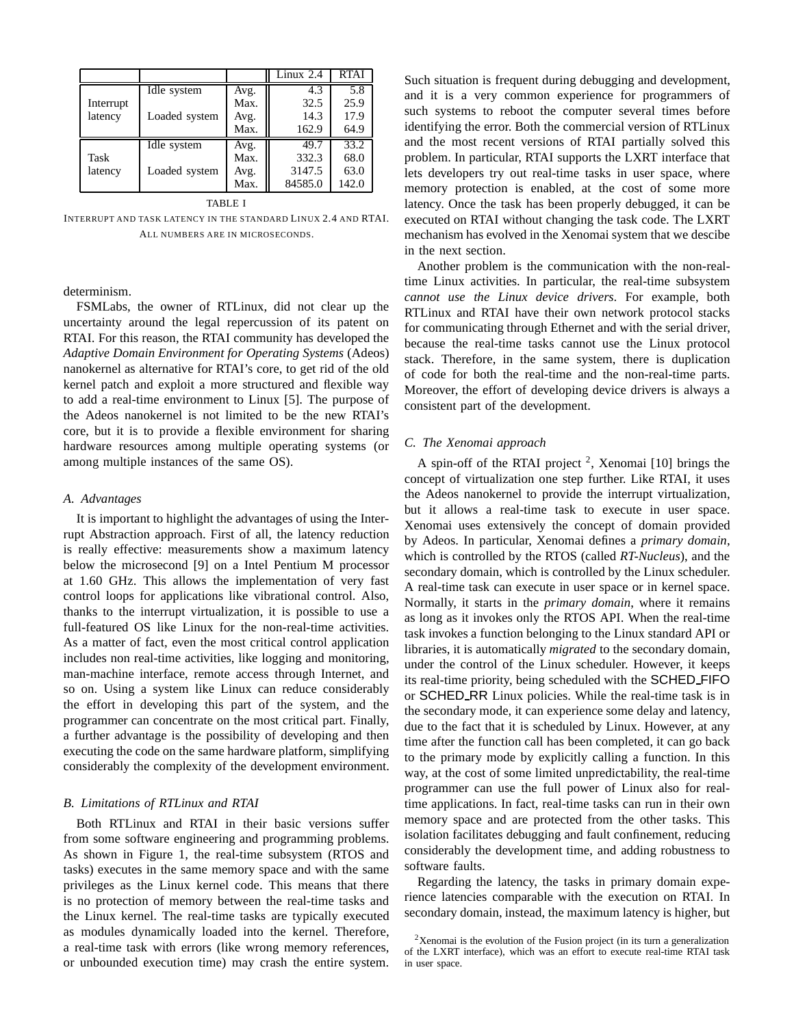|           |               |      | Linux $2.4$ | <b>RTAI</b> |
|-----------|---------------|------|-------------|-------------|
|           | Idle system   | Avg. | 4.3         | 5.8         |
| Interrupt |               | Max. | 32.5        | 25.9        |
| latency   | Loaded system | Avg. | 14.3        | 17.9        |
|           |               | Max. | 162.9       | 64.9        |
|           | Idle system   | Avg. | 49.7        | 33.2        |
| Task      |               | Max. | 332.3       | 68.0        |
| latency   | Loaded system | Avg. | 3147.5      | 63.0        |
|           |               | Max. | 84585.0     | 142.0       |

#### TABLE I

INTERRUPT AND TASK LATENCY IN THE STANDARD LINUX 2.4 AND RTAI. ALL NUMBERS ARE IN MICROSECONDS.

determinism.

FSMLabs, the owner of RTLinux, did not clear up the uncertainty around the legal repercussion of its patent on RTAI. For this reason, the RTAI community has developed the *Adaptive Domain Environment for Operating Systems* (Adeos) nanokernel as alternative for RTAI's core, to get rid of the old kernel patch and exploit a more structured and flexible way to add a real-time environment to Linux [5]. The purpose of the Adeos nanokernel is not limited to be the new RTAI's core, but it is to provide a flexible environment for sharing hardware resources among multiple operating systems (or among multiple instances of the same OS).

## *A. Advantages*

It is important to highlight the advantages of using the Interrupt Abstraction approach. First of all, the latency reduction is really effective: measurements show a maximum latency below the microsecond [9] on a Intel Pentium M processor at 1.60 GHz. This allows the implementation of very fast control loops for applications like vibrational control. Also, thanks to the interrupt virtualization, it is possible to use a full-featured OS like Linux for the non-real-time activities. As a matter of fact, even the most critical control application includes non real-time activities, like logging and monitoring, man-machine interface, remote access through Internet, and so on. Using a system like Linux can reduce considerably the effort in developing this part of the system, and the programmer can concentrate on the most critical part. Finally, a further advantage is the possibility of developing and then executing the code on the same hardware platform, simplifying considerably the complexity of the development environment.

## *B. Limitations of RTLinux and RTAI*

Both RTLinux and RTAI in their basic versions suffer from some software engineering and programming problems. As shown in Figure 1, the real-time subsystem (RTOS and tasks) executes in the same memory space and with the same privileges as the Linux kernel code. This means that there is no protection of memory between the real-time tasks and the Linux kernel. The real-time tasks are typically executed as modules dynamically loaded into the kernel. Therefore, a real-time task with errors (like wrong memory references, or unbounded execution time) may crash the entire system.

Such situation is frequent during debugging and development, and it is a very common experience for programmers of such systems to reboot the computer several times before identifying the error. Both the commercial version of RTLinux and the most recent versions of RTAI partially solved this problem. In particular, RTAI supports the LXRT interface that lets developers try out real-time tasks in user space, where memory protection is enabled, at the cost of some more latency. Once the task has been properly debugged, it can be executed on RTAI without changing the task code. The LXRT mechanism has evolved in the Xenomai system that we descibe in the next section.

Another problem is the communication with the non-realtime Linux activities. In particular, the real-time subsystem *cannot use the Linux device drivers*. For example, both RTLinux and RTAI have their own network protocol stacks for communicating through Ethernet and with the serial driver, because the real-time tasks cannot use the Linux protocol stack. Therefore, in the same system, there is duplication of code for both the real-time and the non-real-time parts. Moreover, the effort of developing device drivers is always a consistent part of the development.

#### *C. The Xenomai approach*

A spin-off of the RTAI project  $2$ , Xenomai [10] brings the concept of virtualization one step further. Like RTAI, it uses the Adeos nanokernel to provide the interrupt virtualization, but it allows a real-time task to execute in user space. Xenomai uses extensively the concept of domain provided by Adeos. In particular, Xenomai defines a *primary domain*, which is controlled by the RTOS (called *RT-Nucleus*), and the secondary domain, which is controlled by the Linux scheduler. A real-time task can execute in user space or in kernel space. Normally, it starts in the *primary domain*, where it remains as long as it invokes only the RTOS API. When the real-time task invokes a function belonging to the Linux standard API or libraries, it is automatically *migrated* to the secondary domain, under the control of the Linux scheduler. However, it keeps its real-time priority, being scheduled with the SCHED FIFO or SCHED RR Linux policies. While the real-time task is in the secondary mode, it can experience some delay and latency, due to the fact that it is scheduled by Linux. However, at any time after the function call has been completed, it can go back to the primary mode by explicitly calling a function. In this way, at the cost of some limited unpredictability, the real-time programmer can use the full power of Linux also for realtime applications. In fact, real-time tasks can run in their own memory space and are protected from the other tasks. This isolation facilitates debugging and fault confinement, reducing considerably the development time, and adding robustness to software faults.

Regarding the latency, the tasks in primary domain experience latencies comparable with the execution on RTAI. In secondary domain, instead, the maximum latency is higher, but

<sup>&</sup>lt;sup>2</sup>Xenomai is the evolution of the Fusion project (in its turn a generalization of the LXRT interface), which was an effort to execute real-time RTAI task in user space.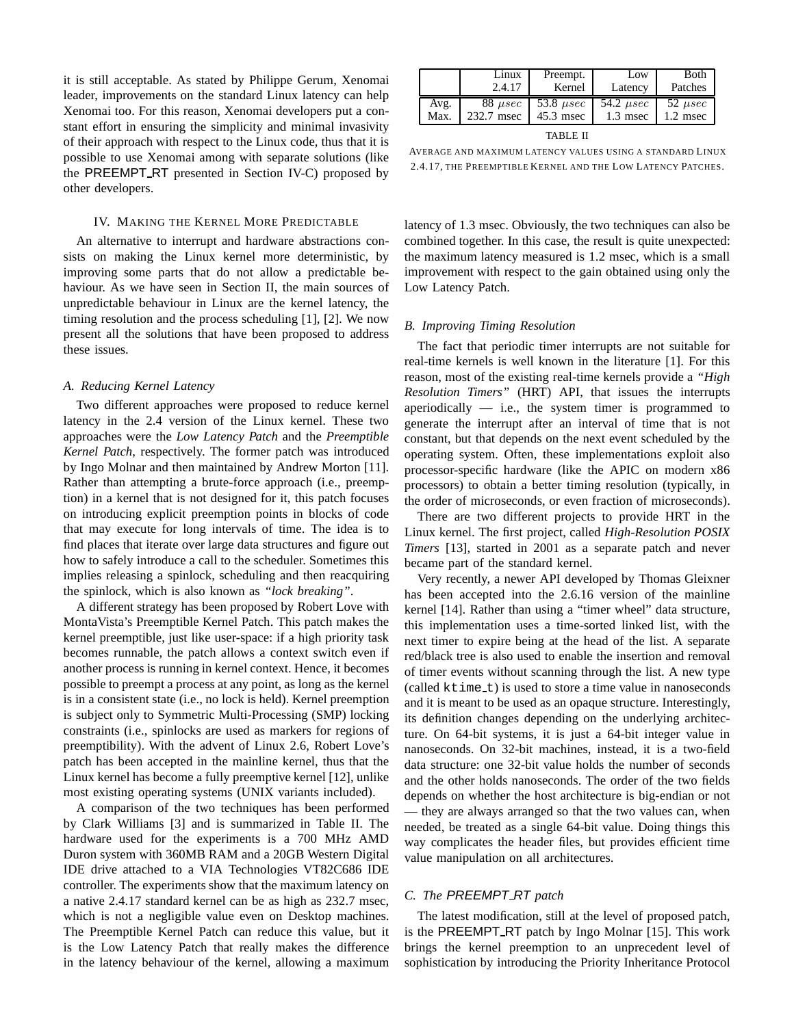it is still acceptable. As stated by Philippe Gerum, Xenomai leader, improvements on the standard Linux latency can help Xenomai too. For this reason, Xenomai developers put a constant effort in ensuring the simplicity and minimal invasivity of their approach with respect to the Linux code, thus that it is possible to use Xenomai among with separate solutions (like the PREEMPT RT presented in Section IV-C) proposed by other developers.

#### IV. MAKING THE KERNEL MORE PREDICTABLE

An alternative to interrupt and hardware abstractions consists on making the Linux kernel more deterministic, by improving some parts that do not allow a predictable behaviour. As we have seen in Section II, the main sources of unpredictable behaviour in Linux are the kernel latency, the timing resolution and the process scheduling [1], [2]. We now present all the solutions that have been proposed to address these issues.

### *A. Reducing Kernel Latency*

Two different approaches were proposed to reduce kernel latency in the 2.4 version of the Linux kernel. These two approaches were the *Low Latency Patch* and the *Preemptible Kernel Patch*, respectively. The former patch was introduced by Ingo Molnar and then maintained by Andrew Morton [11]. Rather than attempting a brute-force approach (i.e., preemption) in a kernel that is not designed for it, this patch focuses on introducing explicit preemption points in blocks of code that may execute for long intervals of time. The idea is to find places that iterate over large data structures and figure out how to safely introduce a call to the scheduler. Sometimes this implies releasing a spinlock, scheduling and then reacquiring the spinlock, which is also known as *"lock breaking"*.

A different strategy has been proposed by Robert Love with MontaVista's Preemptible Kernel Patch. This patch makes the kernel preemptible, just like user-space: if a high priority task becomes runnable, the patch allows a context switch even if another process is running in kernel context. Hence, it becomes possible to preempt a process at any point, as long as the kernel is in a consistent state (i.e., no lock is held). Kernel preemption is subject only to Symmetric Multi-Processing (SMP) locking constraints (i.e., spinlocks are used as markers for regions of preemptibility). With the advent of Linux 2.6, Robert Love's patch has been accepted in the mainline kernel, thus that the Linux kernel has become a fully preemptive kernel [12], unlike most existing operating systems (UNIX variants included).

A comparison of the two techniques has been performed by Clark Williams [3] and is summarized in Table II. The hardware used for the experiments is a 700 MHz AMD Duron system with 360MB RAM and a 20GB Western Digital IDE drive attached to a VIA Technologies VT82C686 IDE controller. The experiments show that the maximum latency on a native 2.4.17 standard kernel can be as high as 232.7 msec, which is not a negligible value even on Desktop machines. The Preemptible Kernel Patch can reduce this value, but it is the Low Latency Patch that really makes the difference in the latency behaviour of the kernel, allowing a maximum

|      | Linux        | Preempt.       | Low            | Both         |
|------|--------------|----------------|----------------|--------------|
|      | 2.4.17       | Kernel         | Latency        | Patches      |
| Avg. | $88 \mu sec$ | 53.8 $\mu$ sec | 54.2 $\mu$ sec | 52 $\mu sec$ |
| Max. | 232.7 msec   | 45.3 msec      | 1.3 msec       | 1.2 msec     |
|      |              |                |                |              |

TABLE II

AVERAGE AND MAXIMUM LATENCY VALUES USING A STANDARD LINUX 2.4.17, THE PREEMPTIBLE KERNEL AND THE LOW LATENCY PATCHES.

latency of 1.3 msec. Obviously, the two techniques can also be combined together. In this case, the result is quite unexpected: the maximum latency measured is 1.2 msec, which is a small improvement with respect to the gain obtained using only the Low Latency Patch.

# *B. Improving Timing Resolution*

The fact that periodic timer interrupts are not suitable for real-time kernels is well known in the literature [1]. For this reason, most of the existing real-time kernels provide a *"High Resolution Timers"* (HRT) API, that issues the interrupts aperiodically  $-$  i.e., the system timer is programmed to generate the interrupt after an interval of time that is not constant, but that depends on the next event scheduled by the operating system. Often, these implementations exploit also processor-specific hardware (like the APIC on modern x86 processors) to obtain a better timing resolution (typically, in the order of microseconds, or even fraction of microseconds).

There are two different projects to provide HRT in the Linux kernel. The first project, called *High-Resolution POSIX Timers* [13], started in 2001 as a separate patch and never became part of the standard kernel.

Very recently, a newer API developed by Thomas Gleixner has been accepted into the 2.6.16 version of the mainline kernel [14]. Rather than using a "timer wheel" data structure, this implementation uses a time-sorted linked list, with the next timer to expire being at the head of the list. A separate red/black tree is also used to enable the insertion and removal of timer events without scanning through the list. A new type (called ktime t) is used to store a time value in nanoseconds and it is meant to be used as an opaque structure. Interestingly, its definition changes depending on the underlying architecture. On 64-bit systems, it is just a 64-bit integer value in nanoseconds. On 32-bit machines, instead, it is a two-field data structure: one 32-bit value holds the number of seconds and the other holds nanoseconds. The order of the two fields depends on whether the host architecture is big-endian or not — they are always arranged so that the two values can, when needed, be treated as a single 64-bit value. Doing things this way complicates the header files, but provides efficient time value manipulation on all architectures.

#### *C. The* PREEMPT RT *patch*

The latest modification, still at the level of proposed patch, is the PREEMPT RT patch by Ingo Molnar [15]. This work brings the kernel preemption to an unprecedent level of sophistication by introducing the Priority Inheritance Protocol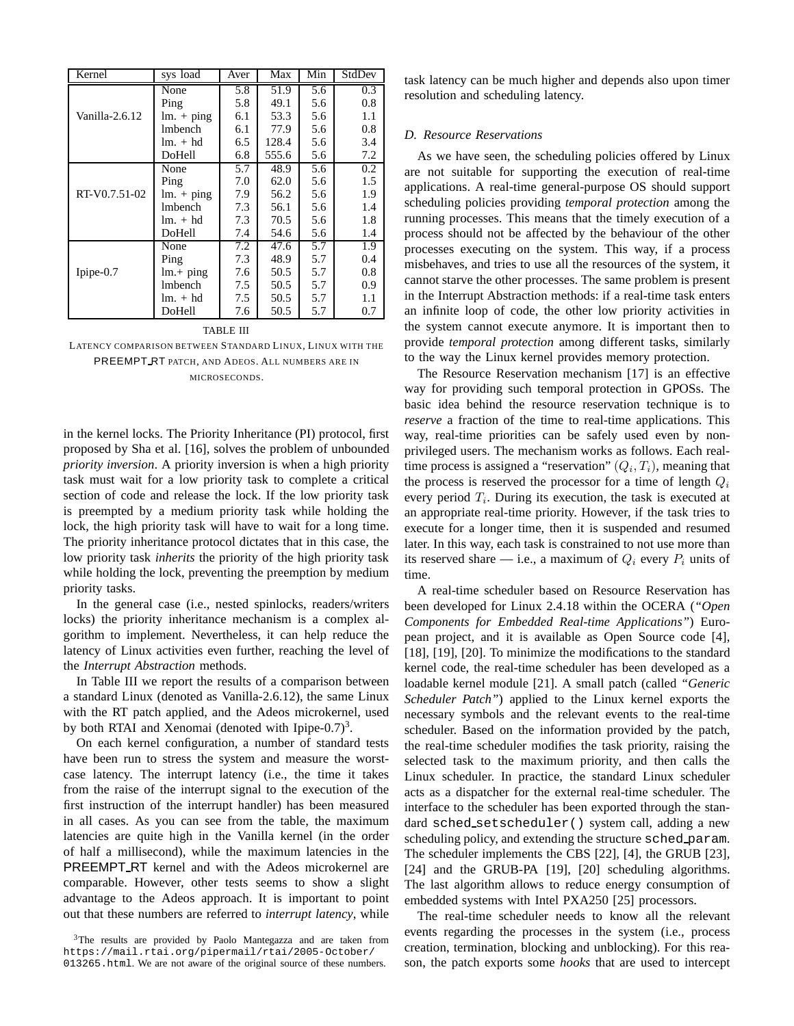| Kernel         | sys load                   | Aver | Max   | Min | StdDev |
|----------------|----------------------------|------|-------|-----|--------|
|                | None                       | 5.8  | 51.9  | 5.6 | 0.3    |
|                | Ping                       | 5.8  | 49.1  | 5.6 | 0.8    |
| Vanilla-2.6.12 | $lm. + ping$               | 6.1  | 53.3  | 5.6 | 1.1    |
|                | lmbench                    | 6.1  | 77.9  | 5.6 | 0.8    |
|                | $lm. + hd$                 | 6.5  | 128.4 | 5.6 | 3.4    |
|                | DoHell                     | 6.8  | 555.6 | 5.6 | 7.2    |
|                | None                       | 5.7  | 48.9  | 5.6 | 0.2    |
|                | Ping                       | 7.0  | 62.0  | 5.6 | 1.5    |
| RT-V0.7.51-02  | $\text{Im.} + \text{ping}$ | 7.9  | 56.2  | 5.6 | 1.9    |
|                | <b>Imbench</b>             | 7.3  | 56.1  | 5.6 | 1.4    |
|                | $lm. + hd$                 | 7.3  | 70.5  | 5.6 | 1.8    |
|                | DoHell                     | 7.4  | 54.6  | 5.6 | 1.4    |
|                | None                       | 7.2  | 47.6  | 5.7 | 1.9    |
|                | Ping                       | 7.3  | 48.9  | 5.7 | 0.4    |
| Ipipe $-0.7$   | $lm + ping$                | 7.6  | 50.5  | 5.7 | 0.8    |
|                | <b>Imbench</b>             | 7.5  | 50.5  | 5.7 | 0.9    |
|                | $lm. + hd$                 | 7.5  | 50.5  | 5.7 | 1.1    |
|                | DoHell                     | 7.6  | 50.5  | 5.7 | 0.7    |

#### TABLE III

LATENCY COMPARISON BETWEEN STANDARD LINUX, LINUX WITH THE PREEMPT RT PATCH, AND ADEOS. ALL NUMBERS ARE IN MICROSECONDS.

in the kernel locks. The Priority Inheritance (PI) protocol, first proposed by Sha et al. [16], solves the problem of unbounded *priority inversion*. A priority inversion is when a high priority task must wait for a low priority task to complete a critical section of code and release the lock. If the low priority task is preempted by a medium priority task while holding the lock, the high priority task will have to wait for a long time. The priority inheritance protocol dictates that in this case, the low priority task *inherits* the priority of the high priority task while holding the lock, preventing the preemption by medium priority tasks.

In the general case (i.e., nested spinlocks, readers/writers locks) the priority inheritance mechanism is a complex algorithm to implement. Nevertheless, it can help reduce the latency of Linux activities even further, reaching the level of the *Interrupt Abstraction* methods.

In Table III we report the results of a comparison between a standard Linux (denoted as Vanilla-2.6.12), the same Linux with the RT patch applied, and the Adeos microkernel, used by both RTAI and Xenomai (denoted with Ipipe-0.7)<sup>3</sup>.

On each kernel configuration, a number of standard tests have been run to stress the system and measure the worstcase latency. The interrupt latency (i.e., the time it takes from the raise of the interrupt signal to the execution of the first instruction of the interrupt handler) has been measured in all cases. As you can see from the table, the maximum latencies are quite high in the Vanilla kernel (in the order of half a millisecond), while the maximum latencies in the PREEMPT RT kernel and with the Adeos microkernel are comparable. However, other tests seems to show a slight advantage to the Adeos approach. It is important to point out that these numbers are referred to *interrupt latency*, while

<sup>3</sup>The results are provided by Paolo Mantegazza and are taken from https://mail.rtai.org/pipermail/rtai/2005-October/ 013265.html. We are not aware of the original source of these numbers.

task latency can be much higher and depends also upon timer resolution and scheduling latency.

# *D. Resource Reservations*

As we have seen, the scheduling policies offered by Linux are not suitable for supporting the execution of real-time applications. A real-time general-purpose OS should support scheduling policies providing *temporal protection* among the running processes. This means that the timely execution of a process should not be affected by the behaviour of the other processes executing on the system. This way, if a process misbehaves, and tries to use all the resources of the system, it cannot starve the other processes. The same problem is present in the Interrupt Abstraction methods: if a real-time task enters an infinite loop of code, the other low priority activities in the system cannot execute anymore. It is important then to provide *temporal protection* among different tasks, similarly to the way the Linux kernel provides memory protection.

The Resource Reservation mechanism [17] is an effective way for providing such temporal protection in GPOSs. The basic idea behind the resource reservation technique is to *reserve* a fraction of the time to real-time applications. This way, real-time priorities can be safely used even by nonprivileged users. The mechanism works as follows. Each realtime process is assigned a "reservation"  $(Q_i, T_i)$ , meaning that the process is reserved the processor for a time of length  $Q_i$ every period  $T_i$ . During its execution, the task is executed at an appropriate real-time priority. However, if the task tries to execute for a longer time, then it is suspended and resumed later. In this way, each task is constrained to not use more than its reserved share — i.e., a maximum of  $Q_i$  every  $P_i$  units of time.

A real-time scheduler based on Resource Reservation has been developed for Linux 2.4.18 within the OCERA (*"Open Components for Embedded Real-time Applications"*) European project, and it is available as Open Source code [4], [18], [19], [20]. To minimize the modifications to the standard kernel code, the real-time scheduler has been developed as a loadable kernel module [21]. A small patch (called *"Generic Scheduler Patch"*) applied to the Linux kernel exports the necessary symbols and the relevant events to the real-time scheduler. Based on the information provided by the patch, the real-time scheduler modifies the task priority, raising the selected task to the maximum priority, and then calls the Linux scheduler. In practice, the standard Linux scheduler acts as a dispatcher for the external real-time scheduler. The interface to the scheduler has been exported through the standard sched setscheduler() system call, adding a new scheduling policy, and extending the structure sched param. The scheduler implements the CBS [22], [4], the GRUB [23], [24] and the GRUB-PA [19], [20] scheduling algorithms. The last algorithm allows to reduce energy consumption of embedded systems with Intel PXA250 [25] processors.

The real-time scheduler needs to know all the relevant events regarding the processes in the system (i.e., process creation, termination, blocking and unblocking). For this reason, the patch exports some *hooks* that are used to intercept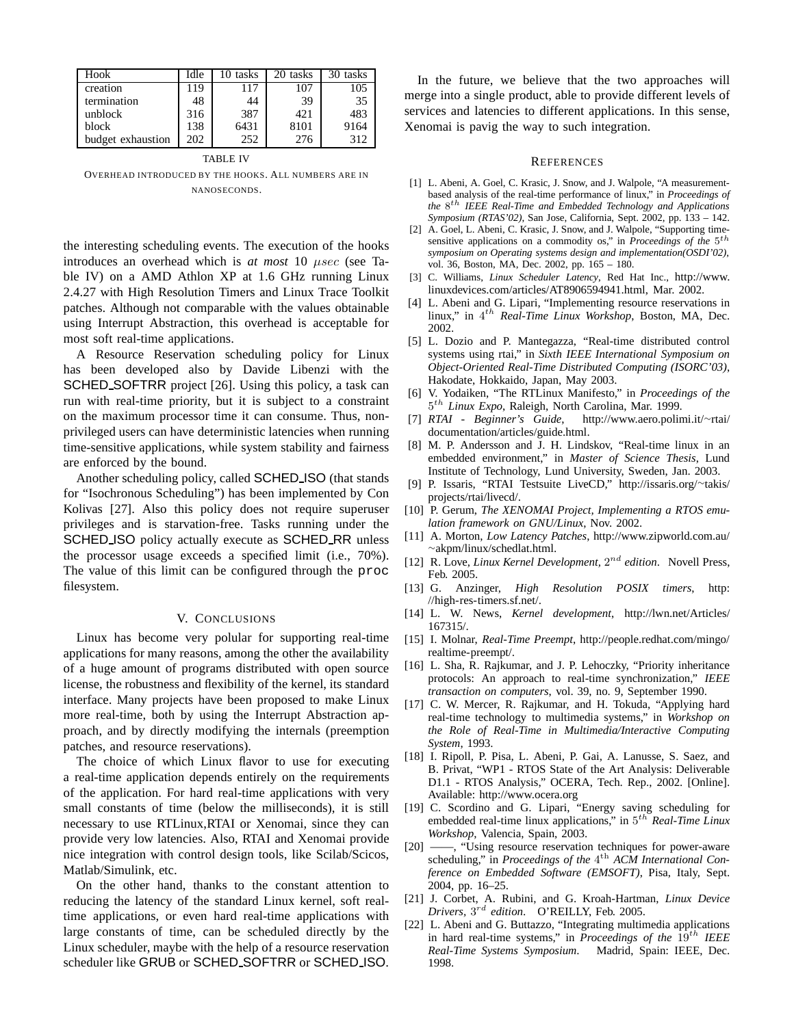| Hook              | Idle | 0 tasks | 20 tasks | 30 tasks |
|-------------------|------|---------|----------|----------|
| creation          | 119  | 117     | 107      | 105      |
| termination       | 48   | 44      | 39       | 35       |
| unblock           | 316  | 387     | 421      | 483      |
| block             | 138  | 6431    | 8101     | 9164     |
| budget exhaustion | 202  | 252     | 276      | 312      |

TABLE IV

OVERHEAD INTRODUCED BY THE HOOKS. ALL NUMBERS ARE IN NANOSECONDS.

the interesting scheduling events. The execution of the hooks introduces an overhead which is *at most* 10 µsec (see Table IV) on a AMD Athlon XP at 1.6 GHz running Linux 2.4.27 with High Resolution Timers and Linux Trace Toolkit patches. Although not comparable with the values obtainable using Interrupt Abstraction, this overhead is acceptable for most soft real-time applications.

A Resource Reservation scheduling policy for Linux has been developed also by Davide Libenzi with the SCHED SOFTRR project [26]. Using this policy, a task can run with real-time priority, but it is subject to a constraint on the maximum processor time it can consume. Thus, nonprivileged users can have deterministic latencies when running time-sensitive applications, while system stability and fairness are enforced by the bound.

Another scheduling policy, called SCHED ISO (that stands for "Isochronous Scheduling") has been implemented by Con Kolivas [27]. Also this policy does not require superuser privileges and is starvation-free. Tasks running under the SCHED ISO policy actually execute as SCHED RR unless the processor usage exceeds a specified limit (i.e., 70%). The value of this limit can be configured through the proc filesystem.

## V. CONCLUSIONS

Linux has become very polular for supporting real-time applications for many reasons, among the other the availability of a huge amount of programs distributed with open source license, the robustness and flexibility of the kernel, its standard interface. Many projects have been proposed to make Linux more real-time, both by using the Interrupt Abstraction approach, and by directly modifying the internals (preemption patches, and resource reservations).

The choice of which Linux flavor to use for executing a real-time application depends entirely on the requirements of the application. For hard real-time applications with very small constants of time (below the milliseconds), it is still necessary to use RTLinux,RTAI or Xenomai, since they can provide very low latencies. Also, RTAI and Xenomai provide nice integration with control design tools, like Scilab/Scicos, Matlab/Simulink, etc.

On the other hand, thanks to the constant attention to reducing the latency of the standard Linux kernel, soft realtime applications, or even hard real-time applications with large constants of time, can be scheduled directly by the Linux scheduler, maybe with the help of a resource reservation scheduler like GRUB or SCHED SOFTRR or SCHED ISO.

In the future, we believe that the two approaches will merge into a single product, able to provide different levels of services and latencies to different applications. In this sense, Xenomai is pavig the way to such integration.

## **REFERENCES**

- [1] L. Abeni, A. Goel, C. Krasic, J. Snow, and J. Walpole, "A measurementbased analysis of the real-time performance of linux," in *Proceedings of the* 8 th *IEEE Real-Time and Embedded Technology and Applications Symposium (RTAS'02)*, San Jose, California, Sept. 2002, pp. 133 – 142.
- [2] A. Goel, L. Abeni, C. Krasic, J. Snow, and J. Walpole, "Supporting timesensitive applications on a commodity os," in *Proceedings of the* 5<sup>th</sup> *symposium on Operating systems design and implementation(OSDI'02)*, vol. 36, Boston, MA, Dec. 2002, pp. 165 – 180.
- [3] C. Williams, *Linux Scheduler Latency*, Red Hat Inc., http://www. linuxdevices.com/articles/AT8906594941.html, Mar. 2002.
- [4] L. Abeni and G. Lipari, "Implementing resource reservations in linux," in 4<sup>th</sup> Real-Time Linux Workshop, Boston, MA, Dec. 2002.
- [5] L. Dozio and P. Mantegazza, "Real-time distributed control systems using rtai," in *Sixth IEEE International Symposium on Object-Oriented Real-Time Distributed Computing (ISORC'03)*, Hakodate, Hokkaido, Japan, May 2003.
- [6] V. Yodaiken, "The RTLinux Manifesto," in *Proceedings of the* 5 th *Linux Expo*, Raleigh, North Carolina, Mar. 1999.
- [7] *RTAI Beginner's Guide*, http://www.aero.polimi.it/<sup>∼</sup>rtai/ documentation/articles/guide.html.
- [8] M. P. Andersson and J. H. Lindskov, "Real-time linux in an embedded environment," in *Master of Science Thesis*, Lund Institute of Technology, Lund University, Sweden, Jan. 2003.
- [9] P. Issaris, "RTAI Testsuite LiveCD," http://issaris.org/<sup>∼</sup>takis/ projects/rtai/livecd/.
- [10] P. Gerum, *The XENOMAI Project, Implementing a RTOS emulation framework on GNU/Linux*, Nov. 2002.
- [11] A. Morton, *Low Latency Patches*, http://www.zipworld.com.au/ <sup>∼</sup>akpm/linux/schedlat.html.
- [12] R. Love, *Linux Kernel Development*,  $2^{nd}$  *edition*. Novell Press, Feb. 2005.
- [13] G. Anzinger, *High Resolution POSIX timers*, http: //high-res-timers.sf.net/.
- [14] L. W. News, *Kernel development*, http://lwn.net/Articles/ 167315/.
- [15] I. Molnar, *Real-Time Preempt*, http://people.redhat.com/mingo/ realtime-preempt/.
- [16] L. Sha, R. Rajkumar, and J. P. Lehoczky, "Priority inheritance protocols: An approach to real-time synchronization," *IEEE transaction on computers*, vol. 39, no. 9, September 1990.
- [17] C. W. Mercer, R. Rajkumar, and H. Tokuda, "Applying hard real-time technology to multimedia systems," in *Workshop on the Role of Real-Time in Multimedia/Interactive Computing System*, 1993.
- [18] I. Ripoll, P. Pisa, L. Abeni, P. Gai, A. Lanusse, S. Saez, and B. Privat, "WP1 - RTOS State of the Art Analysis: Deliverable D1.1 - RTOS Analysis," OCERA, Tech. Rep., 2002. [Online]. Available: http://www.ocera.org
- [19] C. Scordino and G. Lipari, "Energy saving scheduling for embedded real-time linux applications," in 5<sup>th</sup> Real-Time Linux *Workshop*, Valencia, Spain, 2003.
- [20] ——, "Using resource reservation techniques for power-aware scheduling," in *Proceedings of the* 4<sup>th</sup> ACM International Con*ference on Embedded Software (EMSOFT)*, Pisa, Italy, Sept. 2004, pp. 16–25.
- [21] J. Corbet, A. Rubini, and G. Kroah-Hartman, *Linux Device Drivers,* 3 rd *edition*. O'REILLY, Feb. 2005.
- [22] L. Abeni and G. Buttazzo, "Integrating multimedia applications in hard real-time systems," in *Proceedings of the* 19<sup>th</sup> IEEE *Real-Time Systems Symposium*. Madrid, Spain: IEEE, Dec. 1998.